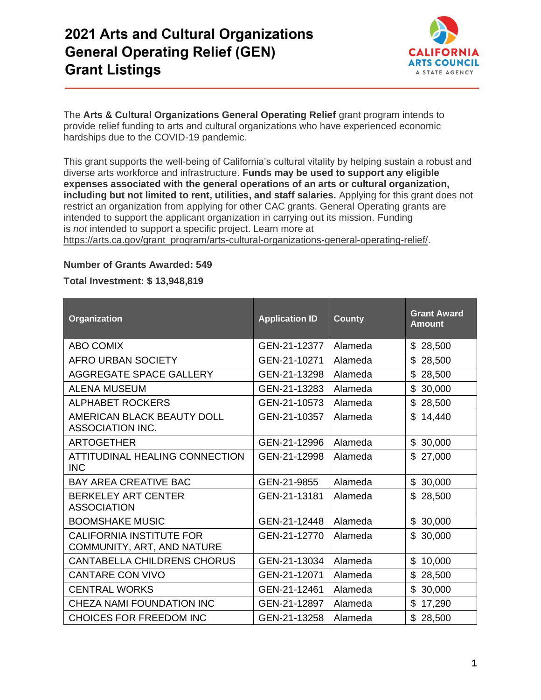

The **Arts & Cultural Organizations General Operating Relief** grant program intends to provide relief funding to arts and cultural organizations who have experienced economic hardships due to the COVID-19 pandemic.

This grant supports the well-being of California's cultural vitality by helping sustain a robust and diverse arts workforce and infrastructure. **Funds may be used to support any eligible expenses associated with the general operations of an arts or cultural organization, including but not limited to rent, utilities, and staff salaries.** Applying for this grant does not restrict an organization from applying for other CAC grants. General Operating grants are intended to support the applicant organization in carrying out its mission. Funding is *not* intended to support a specific project. Learn more at https://arts.ca.gov/grant\_program/arts-cultural-organizations-general-operating-relief/.

#### **Number of Grants Awarded: 549**

**Total Investment: \$ 13,948,819** 

| Organization                                                  | <b>Application ID</b> | <b>County</b> | <b>Grant Award</b><br><b>Amount</b> |
|---------------------------------------------------------------|-----------------------|---------------|-------------------------------------|
| <b>ABO COMIX</b>                                              | GEN-21-12377          | Alameda       | \$<br>28,500                        |
| <b>AFRO URBAN SOCIETY</b>                                     | GEN-21-10271          | Alameda       | \$<br>28,500                        |
| AGGREGATE SPACE GALLERY                                       | GEN-21-13298          | Alameda       | \$<br>28,500                        |
| <b>ALENA MUSEUM</b>                                           | GEN-21-13283          | Alameda       | \$<br>30,000                        |
| <b>ALPHABET ROCKERS</b>                                       | GEN-21-10573          | Alameda       | \$<br>28,500                        |
| AMERICAN BLACK BEAUTY DOLL<br><b>ASSOCIATION INC.</b>         | GEN-21-10357          | Alameda       | \$<br>14,440                        |
| <b>ARTOGETHER</b>                                             | GEN-21-12996          | Alameda       | \$<br>30,000                        |
| <b>ATTITUDINAL HEALING CONNECTION</b><br><b>INC</b>           | GEN-21-12998          | Alameda       | \$<br>27,000                        |
| <b>BAY AREA CREATIVE BAC</b>                                  | GEN-21-9855           | Alameda       | 30,000<br>\$                        |
| <b>BERKELEY ART CENTER</b><br><b>ASSOCIATION</b>              | GEN-21-13181          | Alameda       | \$<br>28,500                        |
| <b>BOOMSHAKE MUSIC</b>                                        | GEN-21-12448          | Alameda       | 30,000<br>\$                        |
| <b>CALIFORNIA INSTITUTE FOR</b><br>COMMUNITY, ART, AND NATURE | GEN-21-12770          | Alameda       | \$.<br>30,000                       |
| <b>CANTABELLA CHILDRENS CHORUS</b>                            | GEN-21-13034          | Alameda       | \$<br>10,000                        |
| <b>CANTARE CON VIVO</b>                                       | GEN-21-12071          | Alameda       | \$<br>28,500                        |
| <b>CENTRAL WORKS</b>                                          | GEN-21-12461          | Alameda       | \$<br>30,000                        |
| CHEZA NAMI FOUNDATION INC                                     | GEN-21-12897          | Alameda       | \$<br>17,290                        |
| <b>CHOICES FOR FREEDOM INC</b>                                | GEN-21-13258          | Alameda       | \$<br>28,500                        |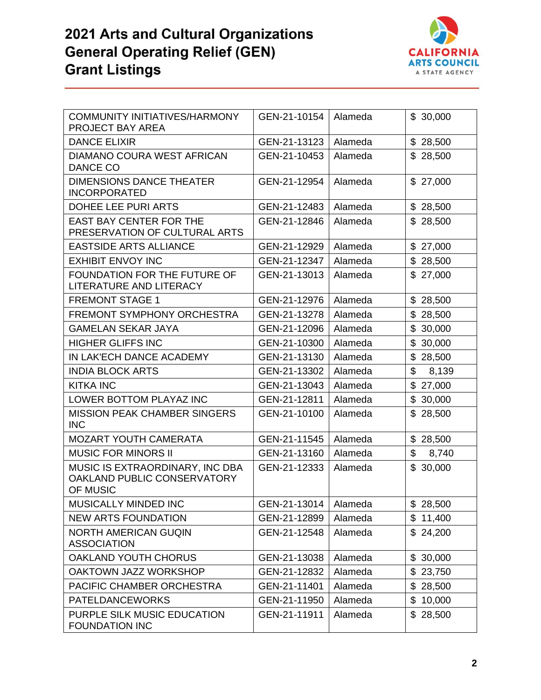

| <b>COMMUNITY INITIATIVES/HARMONY</b><br>PROJECT BAY AREA                   | GEN-21-10154           | Alameda | \$30,000                 |
|----------------------------------------------------------------------------|------------------------|---------|--------------------------|
| <b>DANCE ELIXIR</b>                                                        | GEN-21-13123           | Alameda | \$28,500                 |
| DIAMANO COURA WEST AFRICAN<br><b>DANCE CO</b>                              | GEN-21-10453           | Alameda | \$28,500                 |
| <b>DIMENSIONS DANCE THEATER</b><br><b>INCORPORATED</b>                     | GEN-21-12954           | Alameda | \$27,000                 |
| DOHEE LEE PURI ARTS                                                        | GEN-21-12483           | Alameda | \$28,500                 |
| <b>EAST BAY CENTER FOR THE</b><br>PRESERVATION OF CULTURAL ARTS            | GEN-21-12846           | Alameda | \$28,500                 |
| <b>EASTSIDE ARTS ALLIANCE</b>                                              | GEN-21-12929           | Alameda | \$27,000                 |
| <b>EXHIBIT ENVOY INC</b>                                                   | GEN-21-12347           | Alameda | \$28,500                 |
| FOUNDATION FOR THE FUTURE OF<br>LITERATURE AND LITERACY                    | GEN-21-13013           | Alameda | \$27,000                 |
| <b>FREMONT STAGE 1</b>                                                     | GEN-21-12976           | Alameda | $\mathfrak{S}$<br>28,500 |
| <b>FREMONT SYMPHONY ORCHESTRA</b>                                          | GEN-21-13278           | Alameda | \$28,500                 |
| <b>GAMELAN SEKAR JAYA</b>                                                  | GEN-21-12096           | Alameda | \$30,000                 |
| <b>HIGHER GLIFFS INC</b>                                                   | GEN-21-10300           | Alameda | \$<br>30,000             |
| IN LAK'ECH DANCE ACADEMY                                                   | GEN-21-13130           | Alameda | \$<br>28,500             |
| <b>INDIA BLOCK ARTS</b>                                                    | GEN-21-13302           | Alameda | \$<br>8,139              |
| <b>KITKA INC</b>                                                           | GEN-21-13043           | Alameda | \$<br>27,000             |
| LOWER BOTTOM PLAYAZ INC                                                    | GEN-21-12811           | Alameda | \$<br>30,000             |
| MISSION PEAK CHAMBER SINGERS<br><b>INC</b>                                 | GEN-21-10100           | Alameda | \$28,500                 |
| <b>MOZART YOUTH CAMERATA</b>                                               | GEN-21-11545           | Alameda | \$28,500                 |
| <b>MUSIC FOR MINORS II</b>                                                 | GEN-21-13160           | Alameda | \$<br>8,740              |
| MUSIC IS EXTRAORDINARY, INC DBA<br>OAKLAND PUBLIC CONSERVATORY<br>OF MUSIC | GEN-21-12333           | Alameda | \$30,000                 |
| MUSICALLY MINDED INC                                                       | GEN-21-13014   Alameda |         | \$28,500                 |
| <b>NEW ARTS FOUNDATION</b>                                                 | GEN-21-12899           | Alameda | \$11,400                 |
| <b>NORTH AMERICAN GUQIN</b><br><b>ASSOCIATION</b>                          | GEN-21-12548           | Alameda | \$24,200                 |
| OAKLAND YOUTH CHORUS                                                       | GEN-21-13038           | Alameda | \$30,000                 |
| OAKTOWN JAZZ WORKSHOP                                                      | GEN-21-12832           | Alameda | \$23,750                 |
| PACIFIC CHAMBER ORCHESTRA                                                  | GEN-21-11401           | Alameda | \$28,500                 |
| <b>PATELDANCEWORKS</b>                                                     | GEN-21-11950           | Alameda | $\mathbb{S}$<br>10,000   |
| PURPLE SILK MUSIC EDUCATION<br><b>FOUNDATION INC</b>                       | GEN-21-11911           | Alameda | \$28,500                 |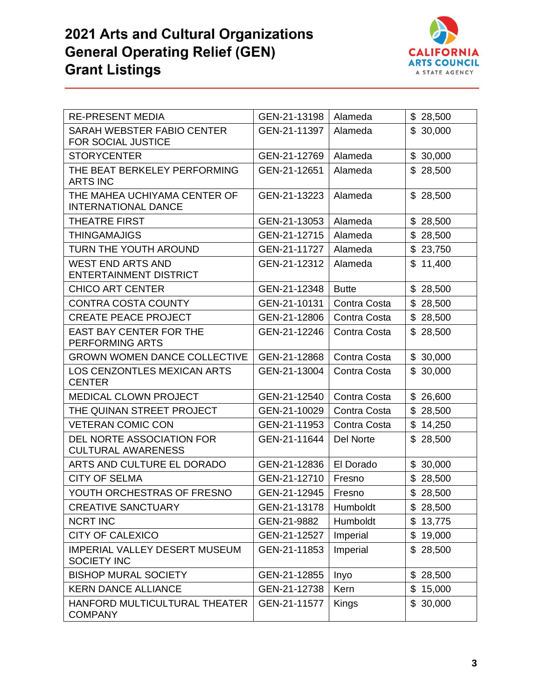

| <b>RE-PRESENT MEDIA</b>                                    | GEN-21-13198 | Alameda      | \$28,500 |
|------------------------------------------------------------|--------------|--------------|----------|
| SARAH WEBSTER FABIO CENTER<br><b>FOR SOCIAL JUSTICE</b>    | GEN-21-11397 | Alameda      | \$30,000 |
| <b>STORYCENTER</b>                                         | GEN-21-12769 | Alameda      | \$30,000 |
| THE BEAT BERKELEY PERFORMING<br><b>ARTS INC</b>            | GEN-21-12651 | Alameda      | \$28,500 |
| THE MAHEA UCHIYAMA CENTER OF<br><b>INTERNATIONAL DANCE</b> | GEN-21-13223 | Alameda      | \$28,500 |
| <b>THEATRE FIRST</b>                                       | GEN-21-13053 | Alameda      | \$28,500 |
| <b>THINGAMAJIGS</b>                                        | GEN-21-12715 | Alameda      | \$28,500 |
| TURN THE YOUTH AROUND                                      | GEN-21-11727 | Alameda      | \$23,750 |
| <b>WEST END ARTS AND</b><br><b>ENTERTAINMENT DISTRICT</b>  | GEN-21-12312 | Alameda      | \$11,400 |
| <b>CHICO ART CENTER</b>                                    | GEN-21-12348 | <b>Butte</b> | \$28,500 |
| <b>CONTRA COSTA COUNTY</b>                                 | GEN-21-10131 | Contra Costa | \$28,500 |
| <b>CREATE PEACE PROJECT</b>                                | GEN-21-12806 | Contra Costa | \$28,500 |
| <b>EAST BAY CENTER FOR THE</b><br>PERFORMING ARTS          | GEN-21-12246 | Contra Costa | \$28,500 |
| <b>GROWN WOMEN DANCE COLLECTIVE</b>                        | GEN-21-12868 | Contra Costa | \$30,000 |
| <b>LOS CENZONTLES MEXICAN ARTS</b><br><b>CENTER</b>        | GEN-21-13004 | Contra Costa | \$30,000 |
| MEDICAL CLOWN PROJECT                                      | GEN-21-12540 | Contra Costa | \$26,600 |
| THE QUINAN STREET PROJECT                                  | GEN-21-10029 | Contra Costa | \$28,500 |
| <b>VETERAN COMIC CON</b>                                   | GEN-21-11953 | Contra Costa | \$14,250 |
| DEL NORTE ASSOCIATION FOR<br><b>CULTURAL AWARENESS</b>     | GEN-21-11644 | Del Norte    | \$28,500 |
| ARTS AND CULTURE EL DORADO                                 | GEN-21-12836 | El Dorado    | \$30,000 |
| <b>CITY OF SELMA</b>                                       | GEN-21-12710 | Fresno       | \$28,500 |
| YOUTH ORCHESTRAS OF FRESNO                                 | GEN-21-12945 | Fresno       | \$28,500 |
| <b>CREATIVE SANCTUARY</b>                                  | GEN-21-13178 | Humboldt     | \$28,500 |
| <b>NCRT INC</b>                                            | GEN-21-9882  | Humboldt     | \$13,775 |
| <b>CITY OF CALEXICO</b>                                    | GEN-21-12527 | Imperial     | \$19,000 |
| <b>IMPERIAL VALLEY DESERT MUSEUM</b><br><b>SOCIETY INC</b> | GEN-21-11853 | Imperial     | \$28,500 |
| <b>BISHOP MURAL SOCIETY</b>                                | GEN-21-12855 | Inyo         | \$28,500 |
| <b>KERN DANCE ALLIANCE</b>                                 | GEN-21-12738 | Kern         | \$15,000 |
| HANFORD MULTICULTURAL THEATER<br><b>COMPANY</b>            | GEN-21-11577 | Kings        | \$30,000 |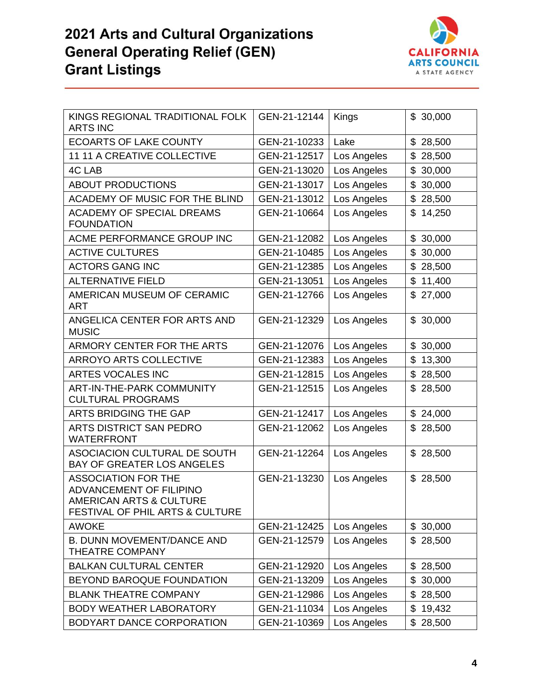

| KINGS REGIONAL TRADITIONAL FOLK<br><b>ARTS INC</b>                                                                             | GEN-21-12144 | Kings       | \$30,000                 |
|--------------------------------------------------------------------------------------------------------------------------------|--------------|-------------|--------------------------|
| <b>ECOARTS OF LAKE COUNTY</b>                                                                                                  | GEN-21-10233 | Lake        | $\mathfrak{S}$<br>28,500 |
| 11 11 A CREATIVE COLLECTIVE                                                                                                    | GEN-21-12517 | Los Angeles | \$<br>28,500             |
| <b>4C LAB</b>                                                                                                                  | GEN-21-13020 | Los Angeles | \$<br>30,000             |
| <b>ABOUT PRODUCTIONS</b>                                                                                                       | GEN-21-13017 | Los Angeles | \$<br>30,000             |
| ACADEMY OF MUSIC FOR THE BLIND                                                                                                 | GEN-21-13012 | Los Angeles | \$<br>28,500             |
| <b>ACADEMY OF SPECIAL DREAMS</b><br><b>FOUNDATION</b>                                                                          | GEN-21-10664 | Los Angeles | 14,250<br>\$             |
| ACME PERFORMANCE GROUP INC                                                                                                     | GEN-21-12082 | Los Angeles | \$30,000                 |
| <b>ACTIVE CULTURES</b>                                                                                                         | GEN-21-10485 | Los Angeles | \$<br>30,000             |
| <b>ACTORS GANG INC</b>                                                                                                         | GEN-21-12385 | Los Angeles | $\mathfrak{S}$<br>28,500 |
| <b>ALTERNATIVE FIELD</b>                                                                                                       | GEN-21-13051 | Los Angeles | \$<br>11,400             |
| AMERICAN MUSEUM OF CERAMIC<br><b>ART</b>                                                                                       | GEN-21-12766 | Los Angeles | \$<br>27,000             |
| ANGELICA CENTER FOR ARTS AND<br><b>MUSIC</b>                                                                                   | GEN-21-12329 | Los Angeles | \$30,000                 |
| ARMORY CENTER FOR THE ARTS                                                                                                     | GEN-21-12076 | Los Angeles | \$30,000                 |
| <b>ARROYO ARTS COLLECTIVE</b>                                                                                                  | GEN-21-12383 | Los Angeles | \$<br>13,300             |
| ARTES VOCALES INC                                                                                                              | GEN-21-12815 | Los Angeles | \$<br>28,500             |
| <b>ART-IN-THE-PARK COMMUNITY</b><br><b>CULTURAL PROGRAMS</b>                                                                   | GEN-21-12515 | Los Angeles | \$<br>28,500             |
| ARTS BRIDGING THE GAP                                                                                                          | GEN-21-12417 | Los Angeles | \$24,000                 |
| ARTS DISTRICT SAN PEDRO<br><b>WATERFRONT</b>                                                                                   | GEN-21-12062 | Los Angeles | \$28,500                 |
| ASOCIACION CULTURAL DE SOUTH<br>BAY OF GREATER LOS ANGELES                                                                     | GEN-21-12264 | Los Angeles | \$28,500                 |
| <b>ASSOCIATION FOR THE</b><br>ADVANCEMENT OF FILIPINO<br>AMERICAN ARTS & CULTURE<br><b>FESTIVAL OF PHIL ARTS &amp; CULTURE</b> | GEN-21-13230 | Los Angeles | \$28,500                 |
| <b>AWOKE</b>                                                                                                                   | GEN-21-12425 | Los Angeles | \$30,000                 |
| <b>B. DUNN MOVEMENT/DANCE AND</b><br>THEATRE COMPANY                                                                           | GEN-21-12579 | Los Angeles | \$28,500                 |
| <b>BALKAN CULTURAL CENTER</b>                                                                                                  | GEN-21-12920 | Los Angeles | \$<br>28,500             |
| BEYOND BAROQUE FOUNDATION                                                                                                      | GEN-21-13209 | Los Angeles | \$<br>30,000             |
| <b>BLANK THEATRE COMPANY</b>                                                                                                   | GEN-21-12986 | Los Angeles | 28,500<br>\$             |
| <b>BODY WEATHER LABORATORY</b>                                                                                                 | GEN-21-11034 | Los Angeles | \$<br>19,432             |
| BODYART DANCE CORPORATION                                                                                                      | GEN-21-10369 | Los Angeles | \$<br>28,500             |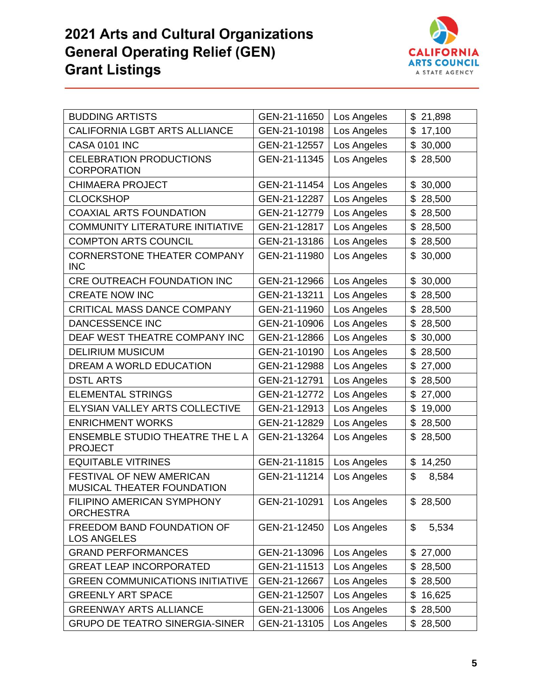

| <b>BUDDING ARTISTS</b>                                   | GEN-21-11650 | Los Angeles | \$<br>21,898 |
|----------------------------------------------------------|--------------|-------------|--------------|
| <b>CALIFORNIA LGBT ARTS ALLIANCE</b>                     | GEN-21-10198 | Los Angeles | \$<br>17,100 |
| <b>CASA 0101 INC</b>                                     | GEN-21-12557 | Los Angeles | \$<br>30,000 |
| <b>CELEBRATION PRODUCTIONS</b><br><b>CORPORATION</b>     | GEN-21-11345 | Los Angeles | 28,500<br>\$ |
| <b>CHIMAERA PROJECT</b>                                  | GEN-21-11454 | Los Angeles | 30,000<br>\$ |
| <b>CLOCKSHOP</b>                                         | GEN-21-12287 | Los Angeles | \$<br>28,500 |
| <b>COAXIAL ARTS FOUNDATION</b>                           | GEN-21-12779 | Los Angeles | \$<br>28,500 |
| <b>COMMUNITY LITERATURE INITIATIVE</b>                   | GEN-21-12817 | Los Angeles | \$<br>28,500 |
| <b>COMPTON ARTS COUNCIL</b>                              | GEN-21-13186 | Los Angeles | \$<br>28,500 |
| <b>CORNERSTONE THEATER COMPANY</b><br><b>INC</b>         | GEN-21-11980 | Los Angeles | 30,000<br>\$ |
| CRE OUTREACH FOUNDATION INC                              | GEN-21-12966 | Los Angeles | \$<br>30,000 |
| <b>CREATE NOW INC</b>                                    | GEN-21-13211 | Los Angeles | \$<br>28,500 |
| CRITICAL MASS DANCE COMPANY                              | GEN-21-11960 | Los Angeles | \$<br>28,500 |
| DANCESSENCE INC                                          | GEN-21-10906 | Los Angeles | \$<br>28,500 |
| DEAF WEST THEATRE COMPANY INC                            | GEN-21-12866 | Los Angeles | \$<br>30,000 |
| <b>DELIRIUM MUSICUM</b>                                  | GEN-21-10190 | Los Angeles | \$<br>28,500 |
| DREAM A WORLD EDUCATION                                  | GEN-21-12988 | Los Angeles | 27,000<br>\$ |
| <b>DSTL ARTS</b>                                         | GEN-21-12791 | Los Angeles | \$<br>28,500 |
| <b>ELEMENTAL STRINGS</b>                                 | GEN-21-12772 | Los Angeles | \$<br>27,000 |
| ELYSIAN VALLEY ARTS COLLECTIVE                           | GEN-21-12913 | Los Angeles | \$<br>19,000 |
| <b>ENRICHMENT WORKS</b>                                  | GEN-21-12829 | Los Angeles | \$<br>28,500 |
| <b>ENSEMBLE STUDIO THEATRE THE L A</b><br><b>PROJECT</b> | GEN-21-13264 | Los Angeles | \$<br>28,500 |
| <b>EQUITABLE VITRINES</b>                                | GEN-21-11815 | Los Angeles | \$<br>14,250 |
| FESTIVAL OF NEW AMERICAN<br>MUSICAL THEATER FOUNDATION   | GEN-21-11214 | Los Angeles | \$<br>8,584  |
| FILIPINO AMERICAN SYMPHONY<br><b>ORCHESTRA</b>           | GEN-21-10291 | Los Angeles | \$28,500     |
| FREEDOM BAND FOUNDATION OF<br><b>LOS ANGELES</b>         | GEN-21-12450 | Los Angeles | \$<br>5,534  |
| <b>GRAND PERFORMANCES</b>                                | GEN-21-13096 | Los Angeles | \$<br>27,000 |
| <b>GREAT LEAP INCORPORATED</b>                           | GEN-21-11513 | Los Angeles | \$<br>28,500 |
| <b>GREEN COMMUNICATIONS INITIATIVE</b>                   | GEN-21-12667 | Los Angeles | \$<br>28,500 |
| <b>GREENLY ART SPACE</b>                                 | GEN-21-12507 | Los Angeles | \$<br>16,625 |
| <b>GREENWAY ARTS ALLIANCE</b>                            | GEN-21-13006 | Los Angeles | \$<br>28,500 |
| <b>GRUPO DE TEATRO SINERGIA-SINER</b>                    | GEN-21-13105 | Los Angeles | \$<br>28,500 |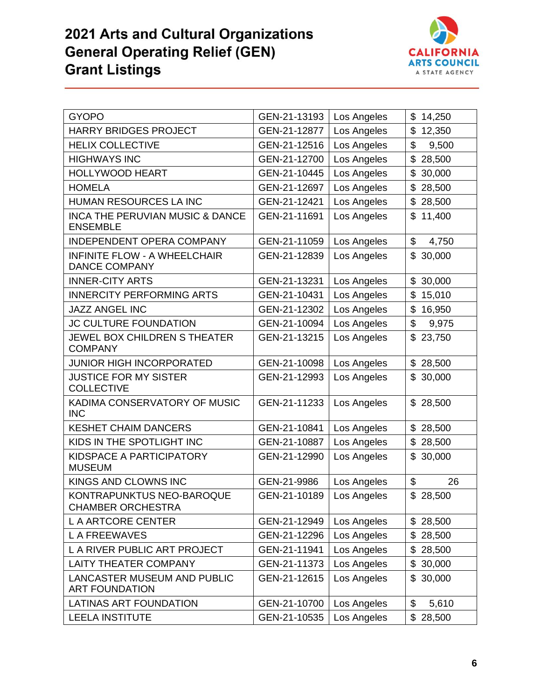

| <b>GYOPO</b>                                                  | GEN-21-13193 | Los Angeles | \$<br>14,250                    |
|---------------------------------------------------------------|--------------|-------------|---------------------------------|
| <b>HARRY BRIDGES PROJECT</b>                                  | GEN-21-12877 | Los Angeles | \$<br>12,350                    |
| <b>HELIX COLLECTIVE</b>                                       | GEN-21-12516 | Los Angeles | \$<br>9,500                     |
| <b>HIGHWAYS INC</b>                                           | GEN-21-12700 | Los Angeles | \$<br>28,500                    |
| <b>HOLLYWOOD HEART</b>                                        | GEN-21-10445 | Los Angeles | \$<br>30,000                    |
| <b>HOMELA</b>                                                 | GEN-21-12697 | Los Angeles | 28,500<br>\$                    |
| HUMAN RESOURCES LA INC                                        | GEN-21-12421 | Los Angeles | \$<br>28,500                    |
| <b>INCA THE PERUVIAN MUSIC &amp; DANCE</b><br><b>ENSEMBLE</b> | GEN-21-11691 | Los Angeles | \$<br>11,400                    |
| <b>INDEPENDENT OPERA COMPANY</b>                              | GEN-21-11059 | Los Angeles | \$<br>4,750                     |
| <b>INFINITE FLOW - A WHEELCHAIR</b><br><b>DANCE COMPANY</b>   | GEN-21-12839 | Los Angeles | \$<br>30,000                    |
| <b>INNER-CITY ARTS</b>                                        | GEN-21-13231 | Los Angeles | \$<br>30,000                    |
| <b>INNERCITY PERFORMING ARTS</b>                              | GEN-21-10431 | Los Angeles | \$<br>15,010                    |
| <b>JAZZ ANGEL INC</b>                                         | GEN-21-12302 | Los Angeles | \$<br>16,950                    |
| JC CULTURE FOUNDATION                                         | GEN-21-10094 | Los Angeles | \$<br>9,975                     |
| <b>JEWEL BOX CHILDREN S THEATER</b><br><b>COMPANY</b>         | GEN-21-13215 | Los Angeles | \$<br>23,750                    |
| <b>JUNIOR HIGH INCORPORATED</b>                               | GEN-21-10098 | Los Angeles | 28,500<br>\$                    |
| <b>JUSTICE FOR MY SISTER</b><br><b>COLLECTIVE</b>             | GEN-21-12993 | Los Angeles | \$<br>30,000                    |
| KADIMA CONSERVATORY OF MUSIC<br><b>INC</b>                    | GEN-21-11233 | Los Angeles | \$<br>28,500                    |
| <b>KESHET CHAIM DANCERS</b>                                   | GEN-21-10841 | Los Angeles | \$<br>28,500                    |
| KIDS IN THE SPOTLIGHT INC                                     | GEN-21-10887 | Los Angeles | \$<br>28,500                    |
| KIDSPACE A PARTICIPATORY<br><b>MUSEUM</b>                     | GEN-21-12990 | Los Angeles | 30,000<br>\$                    |
| KINGS AND CLOWNS INC                                          | GEN-21-9986  | Los Angeles | $\boldsymbol{\mathsf{S}}$<br>26 |
| KONTRAPUNKTUS NEO-BAROQUE<br>CHAMBER ORCHESTRA                | GEN-21-10189 | Los Angeles | \$28,500                        |
| L A ARTCORE CENTER                                            | GEN-21-12949 | Los Angeles | 28,500<br>\$                    |
| <b>LA FREEWAVES</b>                                           | GEN-21-12296 | Los Angeles | 28,500<br>\$                    |
| L A RIVER PUBLIC ART PROJECT                                  | GEN-21-11941 | Los Angeles | \$<br>28,500                    |
| <b>LAITY THEATER COMPANY</b>                                  | GEN-21-11373 | Los Angeles | \$<br>30,000                    |
| LANCASTER MUSEUM AND PUBLIC<br><b>ART FOUNDATION</b>          | GEN-21-12615 | Los Angeles | 30,000<br>\$                    |
| <b>LATINAS ART FOUNDATION</b>                                 | GEN-21-10700 | Los Angeles | \$<br>5,610                     |
| <b>LEELA INSTITUTE</b>                                        | GEN-21-10535 | Los Angeles | 28,500<br>\$                    |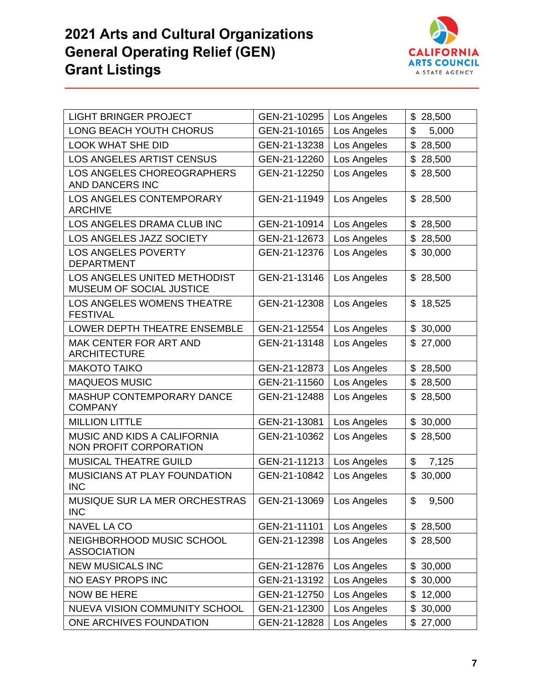

| <b>LIGHT BRINGER PROJECT</b>                                 | GEN-21-10295 | Los Angeles | \$<br>28,500 |
|--------------------------------------------------------------|--------------|-------------|--------------|
| LONG BEACH YOUTH CHORUS                                      | GEN-21-10165 | Los Angeles | \$<br>5,000  |
| <b>LOOK WHAT SHE DID</b>                                     | GEN-21-13238 | Los Angeles | \$<br>28,500 |
| <b>LOS ANGELES ARTIST CENSUS</b>                             | GEN-21-12260 | Los Angeles | \$<br>28,500 |
| <b>LOS ANGELES CHOREOGRAPHERS</b><br>AND DANCERS INC         | GEN-21-12250 | Los Angeles | \$<br>28,500 |
| LOS ANGELES CONTEMPORARY<br><b>ARCHIVE</b>                   | GEN-21-11949 | Los Angeles | 28,500<br>\$ |
| LOS ANGELES DRAMA CLUB INC                                   | GEN-21-10914 | Los Angeles | \$<br>28,500 |
| LOS ANGELES JAZZ SOCIETY                                     | GEN-21-12673 | Los Angeles | 28,500<br>\$ |
| <b>LOS ANGELES POVERTY</b><br><b>DEPARTMENT</b>              | GEN-21-12376 | Los Angeles | \$<br>30,000 |
| LOS ANGELES UNITED METHODIST<br>MUSEUM OF SOCIAL JUSTICE     | GEN-21-13146 | Los Angeles | \$<br>28,500 |
| LOS ANGELES WOMENS THEATRE<br><b>FESTIVAL</b>                | GEN-21-12308 | Los Angeles | \$<br>18,525 |
| LOWER DEPTH THEATRE ENSEMBLE                                 | GEN-21-12554 | Los Angeles | 30,000<br>\$ |
| <b>MAK CENTER FOR ART AND</b><br><b>ARCHITECTURE</b>         | GEN-21-13148 | Los Angeles | \$<br>27,000 |
| <b>MAKOTO TAIKO</b>                                          | GEN-21-12873 | Los Angeles | \$<br>28,500 |
| <b>MAQUEOS MUSIC</b>                                         | GEN-21-11560 | Los Angeles | \$<br>28,500 |
| MASHUP CONTEMPORARY DANCE<br><b>COMPANY</b>                  | GEN-21-12488 | Los Angeles | \$<br>28,500 |
| <b>MILLION LITTLE</b>                                        | GEN-21-13081 | Los Angeles | 30,000<br>\$ |
| <b>MUSIC AND KIDS A CALIFORNIA</b><br>NON PROFIT CORPORATION | GEN-21-10362 | Los Angeles | \$<br>28,500 |
| <b>MUSICAL THEATRE GUILD</b>                                 | GEN-21-11213 | Los Angeles | \$<br>7,125  |
| MUSICIANS AT PLAY FOUNDATION<br><b>INC</b>                   | GEN-21-10842 | Los Angeles | \$<br>30,000 |
| MUSIQUE SUR LA MER ORCHESTRAS<br><b>INC</b>                  | GEN-21-13069 | Los Angeles | \$<br>9,500  |
| <b>NAVEL LA CO</b>                                           | GEN-21-11101 | Los Angeles | \$<br>28,500 |
| NEIGHBORHOOD MUSIC SCHOOL<br><b>ASSOCIATION</b>              | GEN-21-12398 | Los Angeles | 28,500<br>\$ |
| <b>NEW MUSICALS INC</b>                                      | GEN-21-12876 | Los Angeles | \$<br>30,000 |
| <b>NO EASY PROPS INC</b>                                     | GEN-21-13192 | Los Angeles | 30,000<br>\$ |
| <b>NOW BE HERE</b>                                           | GEN-21-12750 | Los Angeles | 12,000<br>\$ |
| NUEVA VISION COMMUNITY SCHOOL                                | GEN-21-12300 | Los Angeles | 30,000<br>\$ |
| ONE ARCHIVES FOUNDATION                                      | GEN-21-12828 | Los Angeles | 27,000<br>\$ |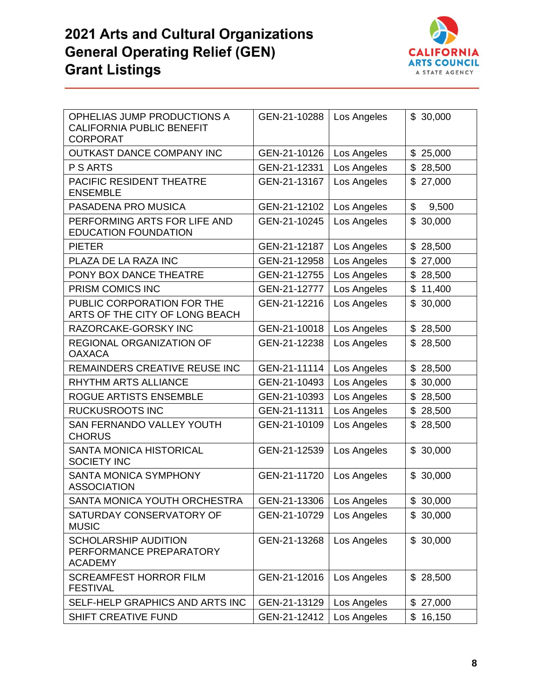

| OPHELIAS JUMP PRODUCTIONS A<br><b>CALIFORNIA PUBLIC BENEFIT</b><br><b>CORPORAT</b> | GEN-21-10288 | Los Angeles | \$30,000     |
|------------------------------------------------------------------------------------|--------------|-------------|--------------|
| OUTKAST DANCE COMPANY INC                                                          | GEN-21-10126 | Los Angeles | \$<br>25,000 |
| P S ARTS                                                                           | GEN-21-12331 | Los Angeles | \$<br>28,500 |
| PACIFIC RESIDENT THEATRE<br><b>ENSEMBLE</b>                                        | GEN-21-13167 | Los Angeles | \$<br>27,000 |
| PASADENA PRO MUSICA                                                                | GEN-21-12102 | Los Angeles | \$<br>9,500  |
| PERFORMING ARTS FOR LIFE AND<br><b>EDUCATION FOUNDATION</b>                        | GEN-21-10245 | Los Angeles | \$<br>30,000 |
| <b>PIETER</b>                                                                      | GEN-21-12187 | Los Angeles | 28,500<br>\$ |
| PLAZA DE LA RAZA INC                                                               | GEN-21-12958 | Los Angeles | \$<br>27,000 |
| PONY BOX DANCE THEATRE                                                             | GEN-21-12755 | Los Angeles | \$<br>28,500 |
| PRISM COMICS INC                                                                   | GEN-21-12777 | Los Angeles | \$<br>11,400 |
| PUBLIC CORPORATION FOR THE<br>ARTS OF THE CITY OF LONG BEACH                       | GEN-21-12216 | Los Angeles | \$<br>30,000 |
| RAZORCAKE-GORSKY INC                                                               | GEN-21-10018 | Los Angeles | 28,500<br>\$ |
| <b>REGIONAL ORGANIZATION OF</b><br><b>OAXACA</b>                                   | GEN-21-12238 | Los Angeles | \$<br>28,500 |
| REMAINDERS CREATIVE REUSE INC                                                      | GEN-21-11114 | Los Angeles | \$<br>28,500 |
| RHYTHM ARTS ALLIANCE                                                               | GEN-21-10493 | Los Angeles | \$<br>30,000 |
| ROGUE ARTISTS ENSEMBLE                                                             | GEN-21-10393 | Los Angeles | \$<br>28,500 |
| <b>RUCKUSROOTS INC</b>                                                             | GEN-21-11311 | Los Angeles | 28,500<br>\$ |
| SAN FERNANDO VALLEY YOUTH<br><b>CHORUS</b>                                         | GEN-21-10109 | Los Angeles | \$<br>28,500 |
| <b>SANTA MONICA HISTORICAL</b><br><b>SOCIETY INC</b>                               | GEN-21-12539 | Los Angeles | \$30,000     |
| SANTA MONICA SYMPHONY<br><b>ASSOCIATION</b>                                        | GEN-21-11720 | Los Angeles | \$<br>30,000 |
| SANTA MONICA YOUTH ORCHESTRA                                                       | GEN-21-13306 | Los Angeles | \$30,000     |
| SATURDAY CONSERVATORY OF<br><b>MUSIC</b>                                           | GEN-21-10729 | Los Angeles | \$30,000     |
| <b>SCHOLARSHIP AUDITION</b><br>PERFORMANCE PREPARATORY<br><b>ACADEMY</b>           | GEN-21-13268 | Los Angeles | \$30,000     |
| <b>SCREAMFEST HORROR FILM</b><br><b>FESTIVAL</b>                                   | GEN-21-12016 | Los Angeles | \$28,500     |
| SELF-HELP GRAPHICS AND ARTS INC                                                    | GEN-21-13129 | Los Angeles | \$<br>27,000 |
| SHIFT CREATIVE FUND                                                                | GEN-21-12412 | Los Angeles | \$<br>16,150 |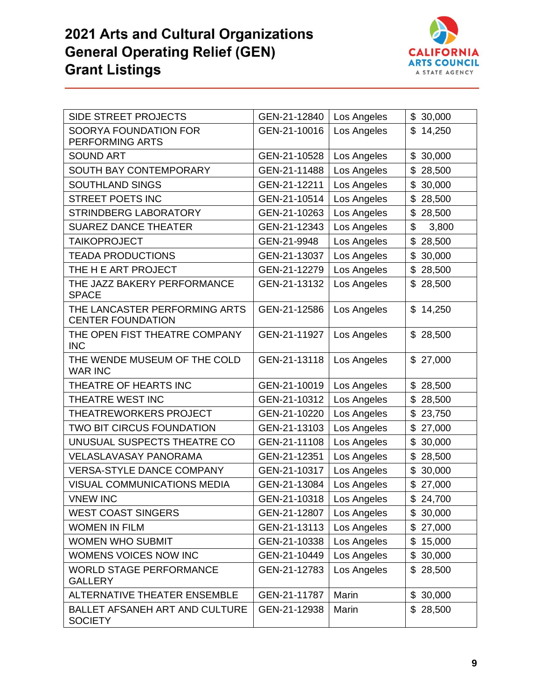

| <b>SIDE STREET PROJECTS</b>                               | GEN-21-12840 | Los Angeles | \$30,000     |
|-----------------------------------------------------------|--------------|-------------|--------------|
| SOORYA FOUNDATION FOR<br>PERFORMING ARTS                  | GEN-21-10016 | Los Angeles | \$<br>14,250 |
| <b>SOUND ART</b>                                          | GEN-21-10528 | Los Angeles | \$<br>30,000 |
| SOUTH BAY CONTEMPORARY                                    | GEN-21-11488 | Los Angeles | \$<br>28,500 |
| SOUTHLAND SINGS                                           | GEN-21-12211 | Los Angeles | \$<br>30,000 |
| <b>STREET POETS INC</b>                                   | GEN-21-10514 | Los Angeles | \$<br>28,500 |
| <b>STRINDBERG LABORATORY</b>                              | GEN-21-10263 | Los Angeles | \$<br>28,500 |
| <b>SUAREZ DANCE THEATER</b>                               | GEN-21-12343 | Los Angeles | \$<br>3,800  |
| <b>TAIKOPROJECT</b>                                       | GEN-21-9948  | Los Angeles | \$<br>28,500 |
| <b>TEADA PRODUCTIONS</b>                                  | GEN-21-13037 | Los Angeles | \$<br>30,000 |
| THE H E ART PROJECT                                       | GEN-21-12279 | Los Angeles | \$<br>28,500 |
| THE JAZZ BAKERY PERFORMANCE<br><b>SPACE</b>               | GEN-21-13132 | Los Angeles | 28,500<br>\$ |
| THE LANCASTER PERFORMING ARTS<br><b>CENTER FOUNDATION</b> | GEN-21-12586 | Los Angeles | \$14,250     |
| THE OPEN FIST THEATRE COMPANY<br><b>INC</b>               | GEN-21-11927 | Los Angeles | \$28,500     |
| THE WENDE MUSEUM OF THE COLD<br><b>WAR INC</b>            | GEN-21-13118 | Los Angeles | \$27,000     |
| THEATRE OF HEARTS INC                                     | GEN-21-10019 | Los Angeles | \$<br>28,500 |
| THEATRE WEST INC                                          | GEN-21-10312 | Los Angeles | \$<br>28,500 |
| <b>THEATREWORKERS PROJECT</b>                             | GEN-21-10220 | Los Angeles | \$<br>23,750 |
| <b>TWO BIT CIRCUS FOUNDATION</b>                          | GEN-21-13103 | Los Angeles | \$<br>27,000 |
| UNUSUAL SUSPECTS THEATRE CO                               | GEN-21-11108 | Los Angeles | \$<br>30,000 |
| <b>VELASLAVASAY PANORAMA</b>                              | GEN-21-12351 | Los Angeles | \$<br>28,500 |
| <b>VERSA-STYLE DANCE COMPANY</b>                          | GEN-21-10317 | Los Angeles | \$<br>30,000 |
| VISUAL COMMUNICATIONS MEDIA                               | GEN-21-13084 | Los Angeles | \$<br>27,000 |
| <b>VNEW INC</b>                                           | GEN-21-10318 | Los Angeles | \$24,700     |
| <b>WEST COAST SINGERS</b>                                 | GEN-21-12807 | Los Angeles | \$<br>30,000 |
| <b>WOMEN IN FILM</b>                                      | GEN-21-13113 | Los Angeles | \$<br>27,000 |
| <b>WOMEN WHO SUBMIT</b>                                   | GEN-21-10338 | Los Angeles | \$<br>15,000 |
| WOMENS VOICES NOW INC                                     | GEN-21-10449 | Los Angeles | \$<br>30,000 |
| <b>WORLD STAGE PERFORMANCE</b><br><b>GALLERY</b>          | GEN-21-12783 | Los Angeles | \$28,500     |
| ALTERNATIVE THEATER ENSEMBLE                              | GEN-21-11787 | Marin       | \$30,000     |
| BALLET AFSANEH ART AND CULTURE<br><b>SOCIETY</b>          | GEN-21-12938 | Marin       | \$28,500     |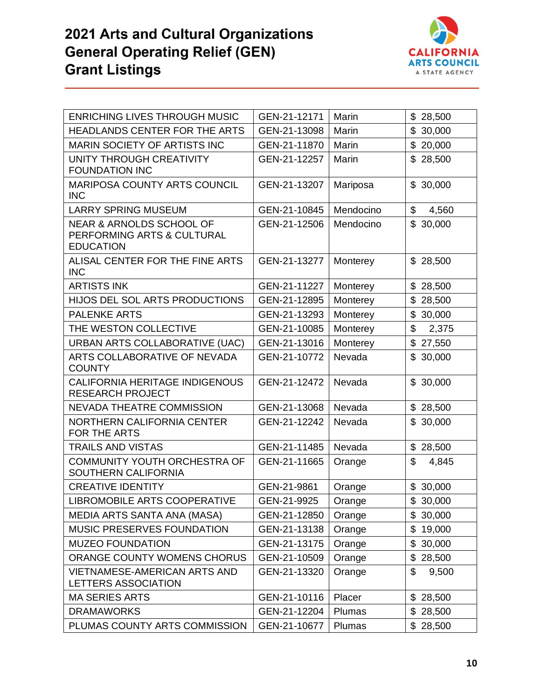

| <b>ENRICHING LIVES THROUGH MUSIC</b>                                                  | GEN-21-12171 | Marin     | \$<br>28,500             |
|---------------------------------------------------------------------------------------|--------------|-----------|--------------------------|
| <b>HEADLANDS CENTER FOR THE ARTS</b>                                                  | GEN-21-13098 | Marin     | \$<br>30,000             |
| <b>MARIN SOCIETY OF ARTISTS INC</b>                                                   | GEN-21-11870 | Marin     | \$<br>20,000             |
| UNITY THROUGH CREATIVITY<br><b>FOUNDATION INC</b>                                     | GEN-21-12257 | Marin     | 28,500<br>\$             |
| <b>MARIPOSA COUNTY ARTS COUNCIL</b><br><b>INC</b>                                     | GEN-21-13207 | Mariposa  | \$<br>30,000             |
| <b>LARRY SPRING MUSEUM</b>                                                            | GEN-21-10845 | Mendocino | \$<br>4,560              |
| <b>NEAR &amp; ARNOLDS SCHOOL OF</b><br>PERFORMING ARTS & CULTURAL<br><b>EDUCATION</b> | GEN-21-12506 | Mendocino | \$30,000                 |
| ALISAL CENTER FOR THE FINE ARTS<br><b>INC</b>                                         | GEN-21-13277 | Monterey  | \$28,500                 |
| <b>ARTISTS INK</b>                                                                    | GEN-21-11227 | Monterey  | \$28,500                 |
| HIJOS DEL SOL ARTS PRODUCTIONS                                                        | GEN-21-12895 | Monterey  | \$<br>28,500             |
| <b>PALENKE ARTS</b>                                                                   | GEN-21-13293 | Monterey  | \$<br>30,000             |
| THE WESTON COLLECTIVE                                                                 | GEN-21-10085 | Monterey  | \$<br>2,375              |
| URBAN ARTS COLLABORATIVE (UAC)                                                        | GEN-21-13016 | Monterey  | \$<br>27,550             |
| ARTS COLLABORATIVE OF NEVADA<br><b>COUNTY</b>                                         | GEN-21-10772 | Nevada    | \$<br>30,000             |
| CALIFORNIA HERITAGE INDIGENOUS<br><b>RESEARCH PROJECT</b>                             | GEN-21-12472 | Nevada    | \$30,000                 |
| <b>NEVADA THEATRE COMMISSION</b>                                                      | GEN-21-13068 | Nevada    | $\mathfrak{S}$<br>28,500 |
| NORTHERN CALIFORNIA CENTER<br>FOR THE ARTS                                            | GEN-21-12242 | Nevada    | \$<br>30,000             |
| <b>TRAILS AND VISTAS</b>                                                              | GEN-21-11485 | Nevada    | \$28,500                 |
| <b>COMMUNITY YOUTH ORCHESTRA OF</b><br><b>SOUTHERN CALIFORNIA</b>                     | GEN-21-11665 | Orange    | \$<br>4,845              |
| <b>CREATIVE IDENTITY</b>                                                              | GEN-21-9861  | Orange    | \$<br>30,000             |
| <b>LIBROMOBILE ARTS COOPERATIVE</b>                                                   | GEN-21-9925  | Orange    | \$<br>30,000             |
| MEDIA ARTS SANTA ANA (MASA)                                                           | GEN-21-12850 | Orange    | \$<br>30,000             |
| MUSIC PRESERVES FOUNDATION                                                            | GEN-21-13138 | Orange    | \$<br>19,000             |
| <b>MUZEO FOUNDATION</b>                                                               | GEN-21-13175 | Orange    | \$<br>30,000             |
| ORANGE COUNTY WOMENS CHORUS                                                           | GEN-21-10509 | Orange    | 28,500<br>\$             |
| <b>VIETNAMESE-AMERICAN ARTS AND</b><br>LETTERS ASSOCIATION                            | GEN-21-13320 | Orange    | \$<br>9,500              |
| <b>MA SERIES ARTS</b>                                                                 | GEN-21-10116 | Placer    | 28,500<br>\$             |
| <b>DRAMAWORKS</b>                                                                     | GEN-21-12204 | Plumas    | \$28,500                 |
| PLUMAS COUNTY ARTS COMMISSION                                                         | GEN-21-10677 | Plumas    | \$28,500                 |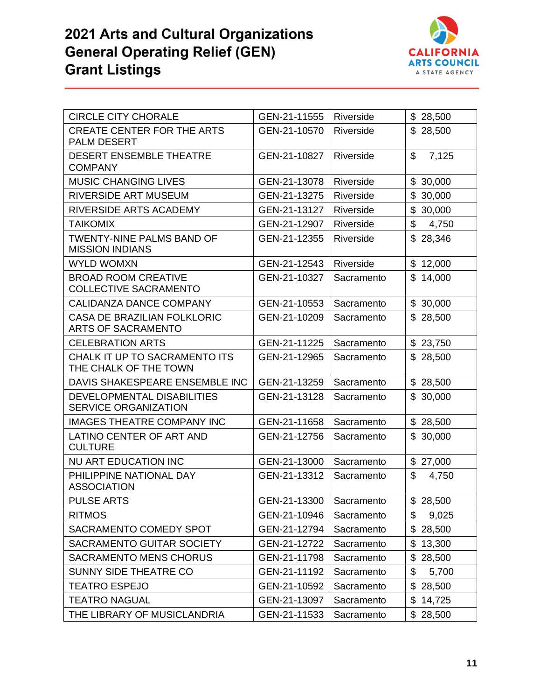

| <b>CIRCLE CITY CHORALE</b>                                      | GEN-21-11555 | Riverside  | \$28,500               |
|-----------------------------------------------------------------|--------------|------------|------------------------|
| <b>CREATE CENTER FOR THE ARTS</b><br><b>PALM DESERT</b>         | GEN-21-10570 | Riverside  | \$28,500               |
| <b>DESERT ENSEMBLE THEATRE</b><br><b>COMPANY</b>                | GEN-21-10827 | Riverside  | \$<br>7,125            |
| <b>MUSIC CHANGING LIVES</b>                                     | GEN-21-13078 | Riverside  | \$30,000               |
| RIVERSIDE ART MUSEUM                                            | GEN-21-13275 | Riverside  | \$30,000               |
| RIVERSIDE ARTS ACADEMY                                          | GEN-21-13127 | Riverside  | \$<br>30,000           |
| <b>TAIKOMIX</b>                                                 | GEN-21-12907 | Riverside  | $\mathsf{\$}$<br>4,750 |
| <b>TWENTY-NINE PALMS BAND OF</b><br><b>MISSION INDIANS</b>      | GEN-21-12355 | Riverside  | \$28,346               |
| <b>WYLD WOMXN</b>                                               | GEN-21-12543 | Riverside  | \$12,000               |
| <b>BROAD ROOM CREATIVE</b><br><b>COLLECTIVE SACRAMENTO</b>      | GEN-21-10327 | Sacramento | \$14,000               |
| <b>CALIDANZA DANCE COMPANY</b>                                  | GEN-21-10553 | Sacramento | \$30,000               |
| <b>CASA DE BRAZILIAN FOLKLORIC</b><br><b>ARTS OF SACRAMENTO</b> | GEN-21-10209 | Sacramento | \$28,500               |
| <b>CELEBRATION ARTS</b>                                         | GEN-21-11225 | Sacramento | \$23,750               |
| CHALK IT UP TO SACRAMENTO ITS<br>THE CHALK OF THE TOWN          | GEN-21-12965 | Sacramento | \$28,500               |
| DAVIS SHAKESPEARE ENSEMBLE INC                                  | GEN-21-13259 | Sacramento | \$28,500               |
| DEVELOPMENTAL DISABILITIES<br><b>SERVICE ORGANIZATION</b>       | GEN-21-13128 | Sacramento | \$30,000               |
| <b>IMAGES THEATRE COMPANY INC</b>                               | GEN-21-11658 | Sacramento | \$28,500               |
| LATINO CENTER OF ART AND<br><b>CULTURE</b>                      | GEN-21-12756 | Sacramento | \$30,000               |
| NU ART EDUCATION INC                                            | GEN-21-13000 | Sacramento | \$27,000               |
| PHILIPPINE NATIONAL DAY<br><b>ASSOCIATION</b>                   | GEN-21-13312 | Sacramento | \$<br>4,750            |
| <b>PULSE ARTS</b>                                               | GEN-21-13300 | Sacramento | \$28,500               |
| <b>RITMOS</b>                                                   | GEN-21-10946 | Sacramento | \$<br>9,025            |
| SACRAMENTO COMEDY SPOT                                          | GEN-21-12794 | Sacramento | \$<br>28,500           |
| SACRAMENTO GUITAR SOCIETY                                       | GEN-21-12722 | Sacramento | \$<br>13,300           |
| <b>SACRAMENTO MENS CHORUS</b>                                   | GEN-21-11798 | Sacramento | \$28,500               |
| <b>SUNNY SIDE THEATRE CO</b>                                    | GEN-21-11192 | Sacramento | \$<br>5,700            |
| <b>TEATRO ESPEJO</b>                                            | GEN-21-10592 | Sacramento | \$<br>28,500           |
| <b>TEATRO NAGUAL</b>                                            | GEN-21-13097 | Sacramento | \$14,725               |
| THE LIBRARY OF MUSICLANDRIA                                     | GEN-21-11533 | Sacramento | \$28,500               |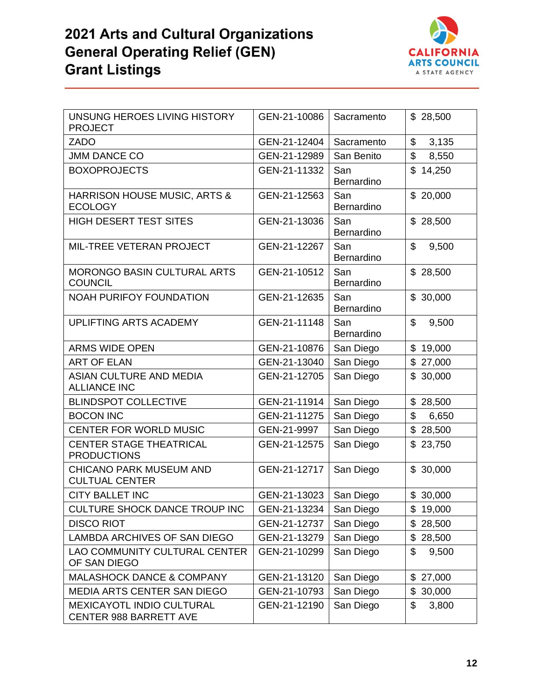

| UNSUNG HEROES LIVING HISTORY<br><b>PROJECT</b>             | GEN-21-10086 | Sacramento        | \$28,500                 |
|------------------------------------------------------------|--------------|-------------------|--------------------------|
| <b>ZADO</b>                                                | GEN-21-12404 | Sacramento        | \$<br>3,135              |
| <b>JMM DANCE CO</b>                                        | GEN-21-12989 | San Benito        | $\mathfrak{L}$<br>8,550  |
| <b>BOXOPROJECTS</b>                                        | GEN-21-11332 | San<br>Bernardino | \$14,250                 |
| HARRISON HOUSE MUSIC, ARTS &<br><b>ECOLOGY</b>             | GEN-21-12563 | San<br>Bernardino | \$20,000                 |
| <b>HIGH DESERT TEST SITES</b>                              | GEN-21-13036 | San<br>Bernardino | \$28,500                 |
| MIL-TREE VETERAN PROJECT                                   | GEN-21-12267 | San<br>Bernardino | \$<br>9,500              |
| <b>MORONGO BASIN CULTURAL ARTS</b><br><b>COUNCIL</b>       | GEN-21-10512 | San<br>Bernardino | \$28,500                 |
| <b>NOAH PURIFOY FOUNDATION</b>                             | GEN-21-12635 | San<br>Bernardino | \$30,000                 |
| UPLIFTING ARTS ACADEMY                                     | GEN-21-11148 | San<br>Bernardino | \$<br>9,500              |
| <b>ARMS WIDE OPEN</b>                                      | GEN-21-10876 | San Diego         | \$<br>19,000             |
| <b>ART OF ELAN</b>                                         | GEN-21-13040 | San Diego         | \$<br>27,000             |
| <b>ASIAN CULTURE AND MEDIA</b><br><b>ALLIANCE INC</b>      | GEN-21-12705 | San Diego         | \$<br>30,000             |
| <b>BLINDSPOT COLLECTIVE</b>                                | GEN-21-11914 | San Diego         | \$28,500                 |
| <b>BOCON INC</b>                                           | GEN-21-11275 | San Diego         | \$<br>6,650              |
| <b>CENTER FOR WORLD MUSIC</b>                              | GEN-21-9997  | San Diego         | \$<br>28,500             |
| <b>CENTER STAGE THEATRICAL</b><br><b>PRODUCTIONS</b>       | GEN-21-12575 | San Diego         | \$<br>23,750             |
| <b>CHICANO PARK MUSEUM AND</b><br><b>CULTUAL CENTER</b>    | GEN-21-12717 | San Diego         | $\mathfrak{L}$<br>30,000 |
| <b>CITY BALLET INC</b>                                     | GEN-21-13023 | San Diego         | \$30,000                 |
| CULTURE SHOCK DANCE TROUP INC                              | GEN-21-13234 | San Diego         | 19,000<br>\$             |
| <b>DISCO RIOT</b>                                          | GEN-21-12737 | San Diego         | \$<br>28,500             |
| LAMBDA ARCHIVES OF SAN DIEGO                               | GEN-21-13279 | San Diego         | \$<br>28,500             |
| <b>LAO COMMUNITY CULTURAL CENTER</b><br>OF SAN DIEGO       | GEN-21-10299 | San Diego         | \$<br>9,500              |
| <b>MALASHOCK DANCE &amp; COMPANY</b>                       | GEN-21-13120 | San Diego         | \$27,000                 |
| <b>MEDIA ARTS CENTER SAN DIEGO</b>                         | GEN-21-10793 | San Diego         | 30,000<br>\$             |
| MEXICAYOTL INDIO CULTURAL<br><b>CENTER 988 BARRETT AVE</b> | GEN-21-12190 | San Diego         | \$<br>3,800              |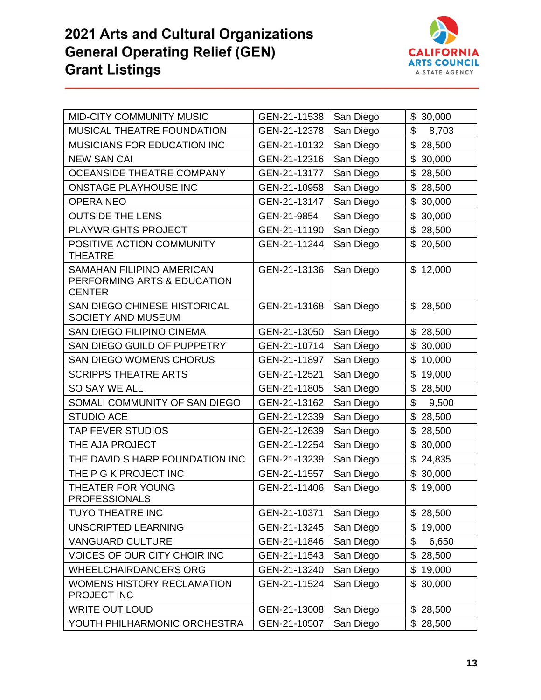

| <b>MID-CITY COMMUNITY MUSIC</b>                                                  | GEN-21-11538 | San Diego | \$30,000     |
|----------------------------------------------------------------------------------|--------------|-----------|--------------|
| MUSICAL THEATRE FOUNDATION                                                       | GEN-21-12378 | San Diego | \$<br>8,703  |
| <b>MUSICIANS FOR EDUCATION INC</b>                                               | GEN-21-10132 | San Diego | \$<br>28,500 |
| <b>NEW SAN CAI</b>                                                               | GEN-21-12316 | San Diego | \$<br>30,000 |
| <b>OCEANSIDE THEATRE COMPANY</b>                                                 | GEN-21-13177 | San Diego | \$<br>28,500 |
| <b>ONSTAGE PLAYHOUSE INC</b>                                                     | GEN-21-10958 | San Diego | \$<br>28,500 |
| <b>OPERA NEO</b>                                                                 | GEN-21-13147 | San Diego | \$<br>30,000 |
| <b>OUTSIDE THE LENS</b>                                                          | GEN-21-9854  | San Diego | \$<br>30,000 |
| <b>PLAYWRIGHTS PROJECT</b>                                                       | GEN-21-11190 | San Diego | \$<br>28,500 |
| POSITIVE ACTION COMMUNITY<br><b>THEATRE</b>                                      | GEN-21-11244 | San Diego | \$<br>20,500 |
| <b>SAMAHAN FILIPINO AMERICAN</b><br>PERFORMING ARTS & EDUCATION<br><b>CENTER</b> | GEN-21-13136 | San Diego | \$12,000     |
| <b>SAN DIEGO CHINESE HISTORICAL</b><br><b>SOCIETY AND MUSEUM</b>                 | GEN-21-13168 | San Diego | \$28,500     |
| <b>SAN DIEGO FILIPINO CINEMA</b>                                                 | GEN-21-13050 | San Diego | \$<br>28,500 |
| SAN DIEGO GUILD OF PUPPETRY                                                      | GEN-21-10714 | San Diego | \$<br>30,000 |
| <b>SAN DIEGO WOMENS CHORUS</b>                                                   | GEN-21-11897 | San Diego | \$10,000     |
| <b>SCRIPPS THEATRE ARTS</b>                                                      | GEN-21-12521 | San Diego | \$<br>19,000 |
| SO SAY WE ALL                                                                    | GEN-21-11805 | San Diego | \$28,500     |
| SOMALI COMMUNITY OF SAN DIEGO                                                    | GEN-21-13162 | San Diego | \$<br>9,500  |
| <b>STUDIO ACE</b>                                                                | GEN-21-12339 | San Diego | \$<br>28,500 |
| <b>TAP FEVER STUDIOS</b>                                                         | GEN-21-12639 | San Diego | \$<br>28,500 |
| THE AJA PROJECT                                                                  | GEN-21-12254 | San Diego | \$30,000     |
| THE DAVID S HARP FOUNDATION INC                                                  | GEN-21-13239 | San Diego | \$<br>24,835 |
| THE P G K PROJECT INC                                                            | GEN-21-11557 | San Diego | \$<br>30,000 |
| THEATER FOR YOUNG<br><b>PROFESSIONALS</b>                                        | GEN-21-11406 | San Diego | \$<br>19,000 |
| <b>TUYO THEATRE INC</b>                                                          | GEN-21-10371 | San Diego | \$28,500     |
| UNSCRIPTED LEARNING                                                              | GEN-21-13245 | San Diego | \$<br>19,000 |
| <b>VANGUARD CULTURE</b>                                                          | GEN-21-11846 | San Diego | \$<br>6,650  |
| <b>VOICES OF OUR CITY CHOIR INC</b>                                              | GEN-21-11543 | San Diego | \$28,500     |
| <b>WHEELCHAIRDANCERS ORG</b>                                                     | GEN-21-13240 | San Diego | \$<br>19,000 |
| <b>WOMENS HISTORY RECLAMATION</b><br>PROJECT INC                                 | GEN-21-11524 | San Diego | \$30,000     |
| <b>WRITE OUT LOUD</b>                                                            | GEN-21-13008 | San Diego | \$28,500     |
| YOUTH PHILHARMONIC ORCHESTRA                                                     | GEN-21-10507 | San Diego | \$28,500     |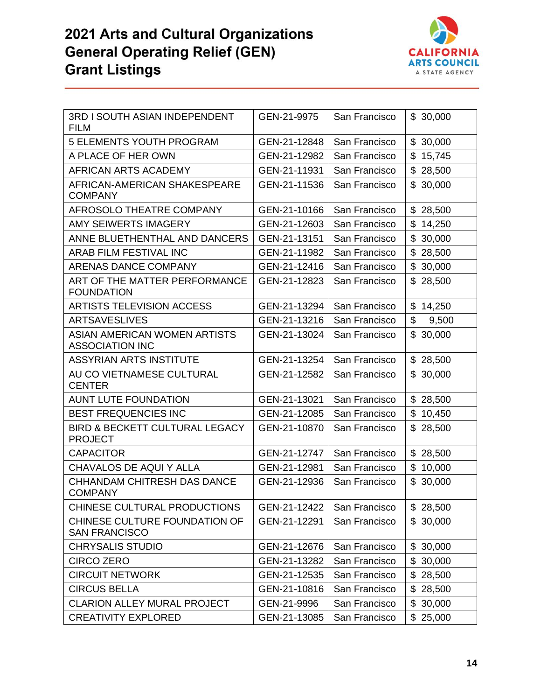

| 3RD I SOUTH ASIAN INDEPENDENT<br><b>FILM</b>                | GEN-21-9975                  | San Francisco | \$30,000     |
|-------------------------------------------------------------|------------------------------|---------------|--------------|
| <b>5 ELEMENTS YOUTH PROGRAM</b>                             | GEN-21-12848                 | San Francisco | \$<br>30,000 |
| A PLACE OF HER OWN                                          | GEN-21-12982                 | San Francisco | \$<br>15,745 |
| AFRICAN ARTS ACADEMY                                        | GEN-21-11931                 | San Francisco | \$28,500     |
| AFRICAN-AMERICAN SHAKESPEARE<br><b>COMPANY</b>              | GEN-21-11536                 | San Francisco | \$<br>30,000 |
| AFROSOLO THEATRE COMPANY                                    | GEN-21-10166                 | San Francisco | \$28,500     |
| <b>AMY SEIWERTS IMAGERY</b>                                 | GEN-21-12603                 | San Francisco | \$<br>14,250 |
| ANNE BLUETHENTHAL AND DANCERS                               | GEN-21-13151                 | San Francisco | \$<br>30,000 |
| ARAB FILM FESTIVAL INC                                      | GEN-21-11982                 | San Francisco | \$<br>28,500 |
| <b>ARENAS DANCE COMPANY</b>                                 | GEN-21-12416                 | San Francisco | \$<br>30,000 |
| ART OF THE MATTER PERFORMANCE<br><b>FOUNDATION</b>          | GEN-21-12823                 | San Francisco | 28,500<br>\$ |
| <b>ARTISTS TELEVISION ACCESS</b>                            | GEN-21-13294                 | San Francisco | \$<br>14,250 |
| <b>ARTSAVESLIVES</b>                                        | GEN-21-13216                 | San Francisco | \$<br>9,500  |
| ASIAN AMERICAN WOMEN ARTISTS<br><b>ASSOCIATION INC</b>      | GEN-21-13024                 | San Francisco | \$<br>30,000 |
| <b>ASSYRIAN ARTS INSTITUTE</b>                              | GEN-21-13254                 | San Francisco | \$28,500     |
| AU CO VIETNAMESE CULTURAL<br><b>CENTER</b>                  | GEN-21-12582                 | San Francisco | \$<br>30,000 |
| <b>AUNT LUTE FOUNDATION</b>                                 | GEN-21-13021                 | San Francisco | \$28,500     |
| BEST FREQUENCIES INC                                        | GEN-21-12085                 | San Francisco | \$<br>10,450 |
| <b>BIRD &amp; BECKETT CULTURAL LEGACY</b><br><b>PROJECT</b> | GEN-21-10870                 | San Francisco | 28,500<br>\$ |
| <b>CAPACITOR</b>                                            | GEN-21-12747                 | San Francisco | \$<br>28,500 |
| CHAVALOS DE AQUI Y ALLA                                     | GEN-21-12981                 | San Francisco | \$<br>10,000 |
| <b>CHHANDAM CHITRESH DAS DANCE</b><br><b>COMPANY</b>        | GEN-21-12936                 | San Francisco | \$<br>30,000 |
| CHINESE CULTURAL PRODUCTIONS                                | GEN-21-12422   San Francisco |               | \$28,500     |
| CHINESE CULTURE FOUNDATION OF<br><b>SAN FRANCISCO</b>       | GEN-21-12291                 | San Francisco | \$30,000     |
| <b>CHRYSALIS STUDIO</b>                                     | GEN-21-12676                 | San Francisco | \$30,000     |
| <b>CIRCO ZERO</b>                                           | GEN-21-13282                 | San Francisco | 30,000<br>\$ |
| <b>CIRCUIT NETWORK</b>                                      | GEN-21-12535                 | San Francisco | 28,500<br>\$ |
| <b>CIRCUS BELLA</b>                                         | GEN-21-10816                 | San Francisco | \$28,500     |
| CLARION ALLEY MURAL PROJECT                                 | GEN-21-9996                  | San Francisco | \$<br>30,000 |
| <b>CREATIVITY EXPLORED</b>                                  | GEN-21-13085                 | San Francisco | \$25,000     |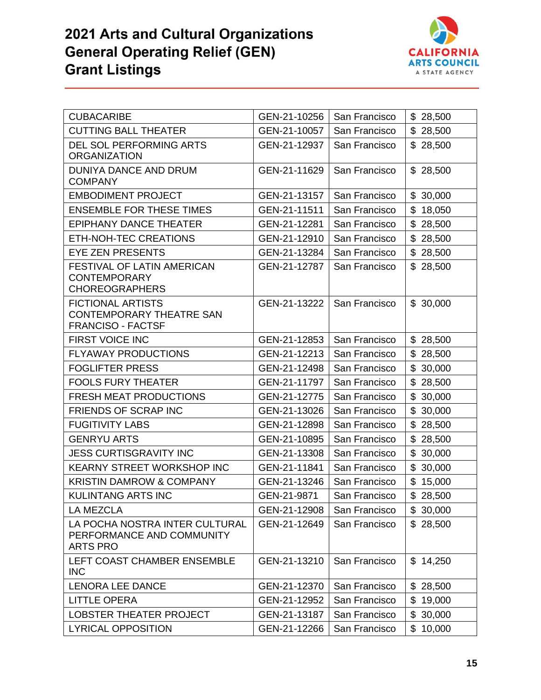

| <b>CUBACARIBE</b>                                                                | GEN-21-10256 | San Francisco | \$28,500     |
|----------------------------------------------------------------------------------|--------------|---------------|--------------|
| <b>CUTTING BALL THEATER</b>                                                      | GEN-21-10057 | San Francisco | \$28,500     |
| <b>DEL SOL PERFORMING ARTS</b><br><b>ORGANIZATION</b>                            | GEN-21-12937 | San Francisco | \$28,500     |
| DUNIYA DANCE AND DRUM<br><b>COMPANY</b>                                          | GEN-21-11629 | San Francisco | \$28,500     |
| <b>EMBODIMENT PROJECT</b>                                                        | GEN-21-13157 | San Francisco | \$30,000     |
| <b>ENSEMBLE FOR THESE TIMES</b>                                                  | GEN-21-11511 | San Francisco | \$18,050     |
| <b>EPIPHANY DANCE THEATER</b>                                                    | GEN-21-12281 | San Francisco | \$28,500     |
| ETH-NOH-TEC CREATIONS                                                            | GEN-21-12910 | San Francisco | \$28,500     |
| <b>EYE ZEN PRESENTS</b>                                                          | GEN-21-13284 | San Francisco | \$28,500     |
| FESTIVAL OF LATIN AMERICAN<br><b>CONTEMPORARY</b><br><b>CHOREOGRAPHERS</b>       | GEN-21-12787 | San Francisco | \$28,500     |
| <b>FICTIONAL ARTISTS</b><br>CONTEMPORARY THEATRE SAN<br><b>FRANCISO - FACTSF</b> | GEN-21-13222 | San Francisco | \$30,000     |
| FIRST VOICE INC                                                                  | GEN-21-12853 | San Francisco | \$28,500     |
| <b>FLYAWAY PRODUCTIONS</b>                                                       | GEN-21-12213 | San Francisco | \$28,500     |
| <b>FOGLIFTER PRESS</b>                                                           | GEN-21-12498 | San Francisco | \$30,000     |
| <b>FOOLS FURY THEATER</b>                                                        | GEN-21-11797 | San Francisco | \$28,500     |
| <b>FRESH MEAT PRODUCTIONS</b>                                                    | GEN-21-12775 | San Francisco | \$30,000     |
| <b>FRIENDS OF SCRAP INC</b>                                                      | GEN-21-13026 | San Francisco | \$30,000     |
| <b>FUGITIVITY LABS</b>                                                           | GEN-21-12898 | San Francisco | \$28,500     |
| <b>GENRYU ARTS</b>                                                               | GEN-21-10895 | San Francisco | \$28,500     |
| <b>JESS CURTISGRAVITY INC</b>                                                    | GEN-21-13308 | San Francisco | \$<br>30,000 |
| <b>KEARNY STREET WORKSHOP INC</b>                                                | GEN-21-11841 | San Francisco | \$30,000     |
| <b>KRISTIN DAMROW &amp; COMPANY</b>                                              | GEN-21-13246 | San Francisco | \$15,000     |
| <b>KULINTANG ARTS INC</b>                                                        | GEN-21-9871  | San Francisco | \$28,500     |
| LA MEZCLA                                                                        | GEN-21-12908 | San Francisco | \$30,000     |
| LA POCHA NOSTRA INTER CULTURAL<br>PERFORMANCE AND COMMUNITY<br><b>ARTS PRO</b>   | GEN-21-12649 | San Francisco | \$28,500     |
| LEFT COAST CHAMBER ENSEMBLE<br><b>INC</b>                                        | GEN-21-13210 | San Francisco | \$14,250     |
| LENORA LEE DANCE                                                                 | GEN-21-12370 | San Francisco | \$28,500     |
| <b>LITTLE OPERA</b>                                                              | GEN-21-12952 | San Francisco | \$19,000     |
| LOBSTER THEATER PROJECT                                                          | GEN-21-13187 | San Francisco | \$30,000     |
| <b>LYRICAL OPPOSITION</b>                                                        | GEN-21-12266 | San Francisco | \$10,000     |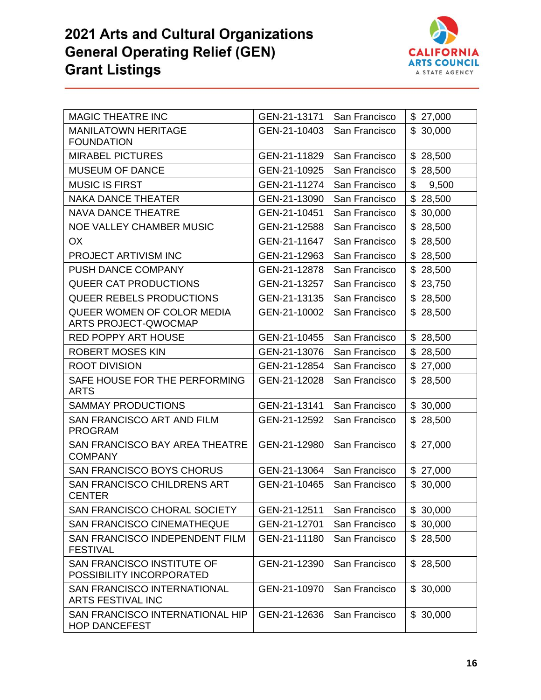

| <b>MAGIC THEATRE INC</b>                                      | GEN-21-13171 | San Francisco | \$27,000     |
|---------------------------------------------------------------|--------------|---------------|--------------|
| <b>MANILATOWN HERITAGE</b><br><b>FOUNDATION</b>               | GEN-21-10403 | San Francisco | \$<br>30,000 |
| <b>MIRABEL PICTURES</b>                                       | GEN-21-11829 | San Francisco | \$28,500     |
| <b>MUSEUM OF DANCE</b>                                        | GEN-21-10925 | San Francisco | \$28,500     |
| <b>MUSIC IS FIRST</b>                                         | GEN-21-11274 | San Francisco | \$<br>9,500  |
| <b>NAKA DANCE THEATER</b>                                     | GEN-21-13090 | San Francisco | \$<br>28,500 |
| <b>NAVA DANCE THEATRE</b>                                     | GEN-21-10451 | San Francisco | \$30,000     |
| <b>NOE VALLEY CHAMBER MUSIC</b>                               | GEN-21-12588 | San Francisco | \$<br>28,500 |
| <b>OX</b>                                                     | GEN-21-11647 | San Francisco | \$<br>28,500 |
| PROJECT ARTIVISM INC                                          | GEN-21-12963 | San Francisco | \$28,500     |
| <b>PUSH DANCE COMPANY</b>                                     | GEN-21-12878 | San Francisco | \$<br>28,500 |
| <b>QUEER CAT PRODUCTIONS</b>                                  | GEN-21-13257 | San Francisco | \$<br>23,750 |
| <b>QUEER REBELS PRODUCTIONS</b>                               | GEN-21-13135 | San Francisco | \$<br>28,500 |
| QUEER WOMEN OF COLOR MEDIA<br><b>ARTS PROJECT-QWOCMAP</b>     | GEN-21-10002 | San Francisco | \$<br>28,500 |
| <b>RED POPPY ART HOUSE</b>                                    | GEN-21-10455 | San Francisco | \$28,500     |
| <b>ROBERT MOSES KIN</b>                                       | GEN-21-13076 | San Francisco | \$<br>28,500 |
| <b>ROOT DIVISION</b>                                          | GEN-21-12854 | San Francisco | \$27,000     |
| SAFE HOUSE FOR THE PERFORMING<br><b>ARTS</b>                  | GEN-21-12028 | San Francisco | \$28,500     |
| <b>SAMMAY PRODUCTIONS</b>                                     | GEN-21-13141 | San Francisco | \$30,000     |
| SAN FRANCISCO ART AND FILM<br><b>PROGRAM</b>                  | GEN-21-12592 | San Francisco | \$28,500     |
| SAN FRANCISCO BAY AREA THEATRE<br><b>COMPANY</b>              | GEN-21-12980 | San Francisco | \$27,000     |
| <b>SAN FRANCISCO BOYS CHORUS</b>                              | GEN-21-13064 | San Francisco | \$27,000     |
| <b>SAN FRANCISCO CHILDRENS ART</b><br><b>CENTER</b>           | GEN-21-10465 | San Francisco | \$30,000     |
| SAN FRANCISCO CHORAL SOCIETY                                  | GEN-21-12511 | San Francisco | \$30,000     |
| <b>SAN FRANCISCO CINEMATHEQUE</b>                             | GEN-21-12701 | San Francisco | \$30,000     |
| SAN FRANCISCO INDEPENDENT FILM<br><b>FESTIVAL</b>             | GEN-21-11180 | San Francisco | \$28,500     |
| <b>SAN FRANCISCO INSTITUTE OF</b><br>POSSIBILITY INCORPORATED | GEN-21-12390 | San Francisco | \$28,500     |
| <b>SAN FRANCISCO INTERNATIONAL</b><br>ARTS FESTIVAL INC       | GEN-21-10970 | San Francisco | \$30,000     |
| SAN FRANCISCO INTERNATIONAL HIP<br><b>HOP DANCEFEST</b>       | GEN-21-12636 | San Francisco | \$30,000     |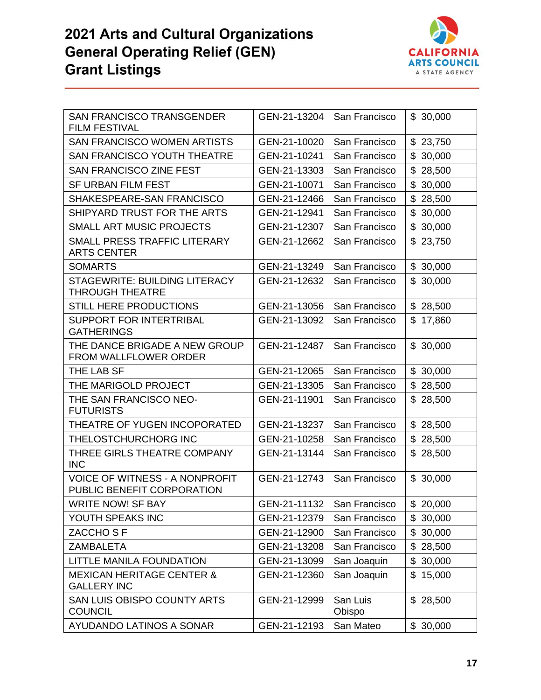

| <b>SAN FRANCISCO TRANSGENDER</b><br><b>FILM FESTIVAL</b>            | GEN-21-13204 | San Francisco      | \$30,000     |
|---------------------------------------------------------------------|--------------|--------------------|--------------|
| SAN FRANCISCO WOMEN ARTISTS                                         | GEN-21-10020 | San Francisco      | \$<br>23,750 |
| <b>SAN FRANCISCO YOUTH THEATRE</b>                                  | GEN-21-10241 | San Francisco      | \$<br>30,000 |
| <b>SAN FRANCISCO ZINE FEST</b>                                      | GEN-21-13303 | San Francisco      | \$<br>28,500 |
| <b>SF URBAN FILM FEST</b>                                           | GEN-21-10071 | San Francisco      | \$<br>30,000 |
| SHAKESPEARE-SAN FRANCISCO                                           | GEN-21-12466 | San Francisco      | \$<br>28,500 |
| SHIPYARD TRUST FOR THE ARTS                                         | GEN-21-12941 | San Francisco      | \$<br>30,000 |
| <b>SMALL ART MUSIC PROJECTS</b>                                     | GEN-21-12307 | San Francisco      | \$<br>30,000 |
| SMALL PRESS TRAFFIC LITERARY<br><b>ARTS CENTER</b>                  | GEN-21-12662 | San Francisco      | 23,750<br>\$ |
| <b>SOMARTS</b>                                                      | GEN-21-13249 | San Francisco      | \$30,000     |
| <b>STAGEWRITE: BUILDING LITERACY</b><br><b>THROUGH THEATRE</b>      | GEN-21-12632 | San Francisco      | 30,000<br>\$ |
| <b>STILL HERE PRODUCTIONS</b>                                       | GEN-21-13056 | San Francisco      | \$28,500     |
| <b>SUPPORT FOR INTERTRIBAL</b><br><b>GATHERINGS</b>                 | GEN-21-13092 | San Francisco      | \$<br>17,860 |
| THE DANCE BRIGADE A NEW GROUP<br>FROM WALLFLOWER ORDER              | GEN-21-12487 | San Francisco      | \$30,000     |
| THE LAB SF                                                          | GEN-21-12065 | San Francisco      | \$30,000     |
| THE MARIGOLD PROJECT                                                | GEN-21-13305 | San Francisco      | \$<br>28,500 |
| THE SAN FRANCISCO NEO-<br><b>FUTURISTS</b>                          | GEN-21-11901 | San Francisco      | 28,500<br>\$ |
| THEATRE OF YUGEN INCOPORATED                                        | GEN-21-13237 | San Francisco      | \$28,500     |
| THELOSTCHURCHORG INC                                                | GEN-21-10258 | San Francisco      | \$<br>28,500 |
| THREE GIRLS THEATRE COMPANY<br><b>INC</b>                           | GEN-21-13144 | San Francisco      | 28,500<br>\$ |
| <b>VOICE OF WITNESS - A NONPROFIT</b><br>PUBLIC BENEFIT CORPORATION | GEN-21-12743 | San Francisco      | \$30,000     |
| WRITE NOW! SF BAY                                                   | GEN-21-11132 | San Francisco      | \$20,000     |
| YOUTH SPEAKS INC                                                    | GEN-21-12379 | San Francisco      | \$<br>30,000 |
| ZACCHO <sub>SF</sub>                                                | GEN-21-12900 | San Francisco      | 30,000<br>\$ |
| <b>ZAMBALETA</b>                                                    | GEN-21-13208 | San Francisco      | \$28,500     |
| LITTLE MANILA FOUNDATION                                            | GEN-21-13099 | San Joaquin        | \$<br>30,000 |
| <b>MEXICAN HERITAGE CENTER &amp;</b><br><b>GALLERY INC</b>          | GEN-21-12360 | San Joaquin        | 15,000<br>\$ |
| <b>SAN LUIS OBISPO COUNTY ARTS</b><br><b>COUNCIL</b>                | GEN-21-12999 | San Luis<br>Obispo | \$28,500     |
| AYUDANDO LATINOS A SONAR                                            | GEN-21-12193 | San Mateo          | \$30,000     |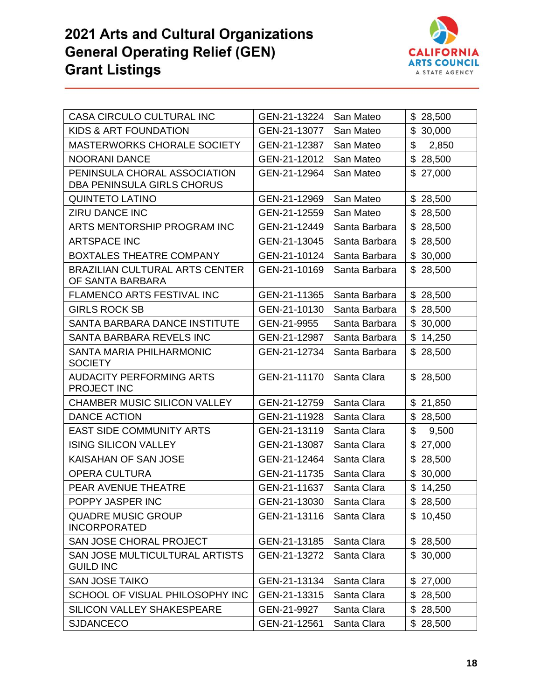

| CASA CIRCULO CULTURAL INC                                         | GEN-21-13224 | San Mateo     | \$28,500     |
|-------------------------------------------------------------------|--------------|---------------|--------------|
| KIDS & ART FOUNDATION                                             | GEN-21-13077 | San Mateo     | \$<br>30,000 |
| <b>MASTERWORKS CHORALE SOCIETY</b>                                | GEN-21-12387 | San Mateo     | \$<br>2,850  |
| <b>NOORANI DANCE</b>                                              | GEN-21-12012 | San Mateo     | \$28,500     |
| PENINSULA CHORAL ASSOCIATION<br><b>DBA PENINSULA GIRLS CHORUS</b> | GEN-21-12964 | San Mateo     | \$27,000     |
| <b>QUINTETO LATINO</b>                                            | GEN-21-12969 | San Mateo     | \$28,500     |
| <b>ZIRU DANCE INC</b>                                             | GEN-21-12559 | San Mateo     | \$28,500     |
| ARTS MENTORSHIP PROGRAM INC                                       | GEN-21-12449 | Santa Barbara | \$28,500     |
| <b>ARTSPACE INC</b>                                               | GEN-21-13045 | Santa Barbara | \$<br>28,500 |
| <b>BOXTALES THEATRE COMPANY</b>                                   | GEN-21-10124 | Santa Barbara | \$30,000     |
| <b>BRAZILIAN CULTURAL ARTS CENTER</b><br>OF SANTA BARBARA         | GEN-21-10169 | Santa Barbara | 28,500<br>\$ |
| FLAMENCO ARTS FESTIVAL INC                                        | GEN-21-11365 | Santa Barbara | \$28,500     |
| <b>GIRLS ROCK SB</b>                                              | GEN-21-10130 | Santa Barbara | \$<br>28,500 |
| SANTA BARBARA DANCE INSTITUTE                                     | GEN-21-9955  | Santa Barbara | \$<br>30,000 |
| SANTA BARBARA REVELS INC                                          | GEN-21-12987 | Santa Barbara | \$<br>14,250 |
| SANTA MARIA PHILHARMONIC<br><b>SOCIETY</b>                        | GEN-21-12734 | Santa Barbara | 28,500<br>\$ |
| <b>AUDACITY PERFORMING ARTS</b><br>PROJECT INC                    | GEN-21-11170 | Santa Clara   | \$28,500     |
| <b>CHAMBER MUSIC SILICON VALLEY</b>                               | GEN-21-12759 | Santa Clara   | \$21,850     |
| <b>DANCE ACTION</b>                                               | GEN-21-11928 | Santa Clara   | \$<br>28,500 |
| <b>EAST SIDE COMMUNITY ARTS</b>                                   | GEN-21-13119 | Santa Clara   | \$<br>9,500  |
| <b>ISING SILICON VALLEY</b>                                       | GEN-21-13087 | Santa Clara   | \$27,000     |
| KAISAHAN OF SAN JOSE                                              | GEN-21-12464 | Santa Clara   | \$<br>28,500 |
| <b>OPERA CULTURA</b>                                              | GEN-21-11735 | Santa Clara   | \$<br>30,000 |
| PEAR AVENUE THEATRE                                               | GEN-21-11637 | Santa Clara   | \$14,250     |
| POPPY JASPER INC                                                  | GEN-21-13030 | Santa Clara   | \$28,500     |
| <b>QUADRE MUSIC GROUP</b><br><b>INCORPORATED</b>                  | GEN-21-13116 | Santa Clara   | \$10,450     |
| SAN JOSE CHORAL PROJECT                                           | GEN-21-13185 | Santa Clara   | \$28,500     |
| SAN JOSE MULTICULTURAL ARTISTS<br><b>GUILD INC</b>                | GEN-21-13272 | Santa Clara   | \$30,000     |
| <b>SAN JOSE TAIKO</b>                                             | GEN-21-13134 | Santa Clara   | \$27,000     |
| SCHOOL OF VISUAL PHILOSOPHY INC                                   | GEN-21-13315 | Santa Clara   | \$28,500     |
| SILICON VALLEY SHAKESPEARE                                        | GEN-21-9927  | Santa Clara   | \$28,500     |
| <b>SJDANCECO</b>                                                  | GEN-21-12561 | Santa Clara   | \$28,500     |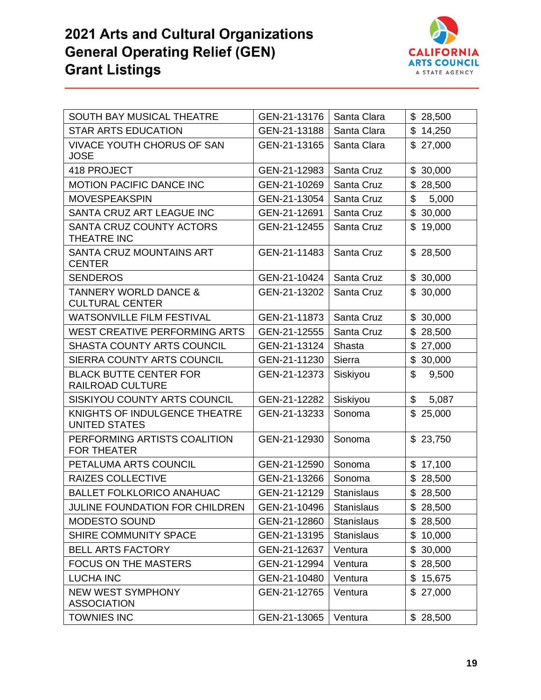

| SOUTH BAY MUSICAL THEATRE                                  | GEN-21-13176 | Santa Clara       | \$28,500                 |
|------------------------------------------------------------|--------------|-------------------|--------------------------|
| <b>STAR ARTS EDUCATION</b>                                 | GEN-21-13188 | Santa Clara       | \$14,250                 |
| <b>VIVACE YOUTH CHORUS OF SAN</b><br><b>JOSE</b>           | GEN-21-13165 | Santa Clara       | \$27,000                 |
| 418 PROJECT                                                | GEN-21-12983 | Santa Cruz        | \$30,000                 |
| <b>MOTION PACIFIC DANCE INC</b>                            | GEN-21-10269 | Santa Cruz        | \$<br>28,500             |
| <b>MOVESPEAKSPIN</b>                                       | GEN-21-13054 | Santa Cruz        | \$<br>5,000              |
| SANTA CRUZ ART LEAGUE INC                                  | GEN-21-12691 | Santa Cruz        | \$30,000                 |
| SANTA CRUZ COUNTY ACTORS<br>THEATRE INC                    | GEN-21-12455 | Santa Cruz        | \$19,000                 |
| SANTA CRUZ MOUNTAINS ART<br><b>CENTER</b>                  | GEN-21-11483 | Santa Cruz        | \$28,500                 |
| <b>SENDEROS</b>                                            | GEN-21-10424 | Santa Cruz        | \$30,000                 |
| <b>TANNERY WORLD DANCE &amp;</b><br><b>CULTURAL CENTER</b> | GEN-21-13202 | Santa Cruz        | \$30,000                 |
| <b>WATSONVILLE FILM FESTIVAL</b>                           | GEN-21-11873 | Santa Cruz        | \$30,000                 |
| <b>WEST CREATIVE PERFORMING ARTS</b>                       | GEN-21-12555 | Santa Cruz        | $\mathfrak{L}$<br>28,500 |
| <b>SHASTA COUNTY ARTS COUNCIL</b>                          | GEN-21-13124 | <b>Shasta</b>     | \$27,000                 |
| SIERRA COUNTY ARTS COUNCIL                                 | GEN-21-11230 | Sierra            | \$30,000                 |
| <b>BLACK BUTTE CENTER FOR</b><br>RAILROAD CULTURE          | GEN-21-12373 | Siskiyou          | \$<br>9,500              |
| SISKIYOU COUNTY ARTS COUNCIL                               | GEN-21-12282 | Siskiyou          | \$<br>5,087              |
| KNIGHTS OF INDULGENCE THEATRE<br><b>UNITED STATES</b>      | GEN-21-13233 | Sonoma            | \$25,000                 |
| PERFORMING ARTISTS COALITION<br><b>FOR THEATER</b>         | GEN-21-12930 | Sonoma            | \$23,750                 |
| PETALUMA ARTS COUNCIL                                      | GEN-21-12590 | Sonoma            | \$17,100                 |
| <b>RAIZES COLLECTIVE</b>                                   | GEN-21-13266 | Sonoma            | \$28,500                 |
| <b>BALLET FOLKLORICO ANAHUAC</b>                           | GEN-21-12129 | <b>Stanislaus</b> | \$28,500                 |
| JULINE FOUNDATION FOR CHILDREN                             | GEN-21-10496 | Stanislaus        | \$28,500                 |
| <b>MODESTO SOUND</b>                                       | GEN-21-12860 | <b>Stanislaus</b> | \$28,500                 |
| SHIRE COMMUNITY SPACE                                      | GEN-21-13195 | <b>Stanislaus</b> | \$10,000                 |
| <b>BELL ARTS FACTORY</b>                                   | GEN-21-12637 | Ventura           | \$30,000                 |
| <b>FOCUS ON THE MASTERS</b>                                | GEN-21-12994 | Ventura           | \$28,500                 |
| <b>LUCHA INC</b>                                           | GEN-21-10480 | Ventura           | \$15,675                 |
| <b>NEW WEST SYMPHONY</b><br><b>ASSOCIATION</b>             | GEN-21-12765 | Ventura           | \$27,000                 |
| <b>TOWNIES INC</b>                                         | GEN-21-13065 | Ventura           | \$28,500                 |